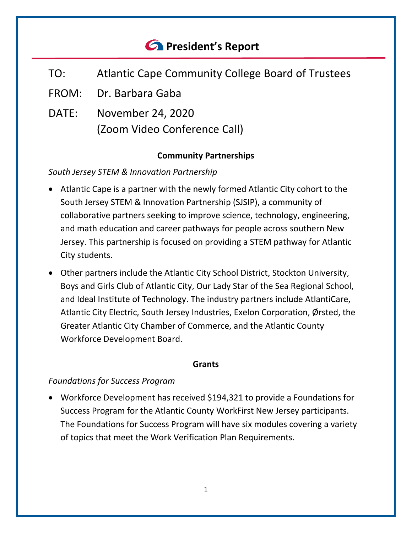# *<u>C* President's Report</u>

- TO: Atlantic Cape Community College Board of Trustees
- FROM: Dr. Barbara Gaba
- DATE: November 24, 2020 (Zoom Video Conference Call)

## **Community Partnerships**

## *South Jersey STEM & Innovation Partnership*

- Atlantic Cape is a partner with the newly formed Atlantic City cohort to the South Jersey STEM & Innovation Partnership (SJSIP), a community of collaborative partners seeking to improve science, technology, engineering, and math education and career pathways for people across southern New Jersey. This partnership is focused on providing a STEM pathway for Atlantic City students.
- Other partners include the Atlantic City School District, Stockton University, Boys and Girls Club of Atlantic City, Our Lady Star of the Sea Regional School, and Ideal Institute of Technology. The industry partners include AtlantiCare, Atlantic City Electric, South Jersey Industries, Exelon Corporation, Ørsted, the Greater Atlantic City Chamber of Commerce, and the Atlantic County Workforce Development Board.

#### **Grants**

## *Foundations for Success Program*

• Workforce Development has received \$194,321 to provide a Foundations for Success Program for the Atlantic County WorkFirst New Jersey participants. The Foundations for Success Program will have six modules covering a variety of topics that meet the Work Verification Plan Requirements.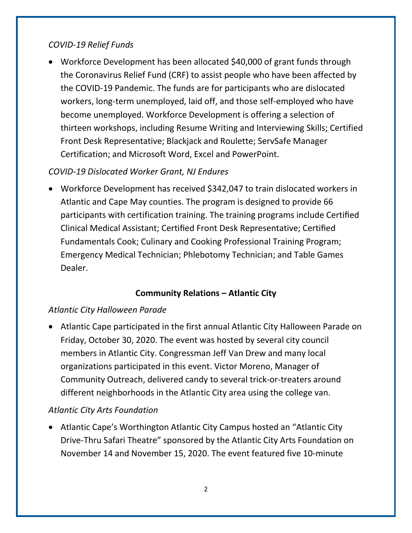#### *COVID-19 Relief Funds*

• Workforce Development has been allocated \$40,000 of grant funds through the Coronavirus Relief Fund (CRF) to assist people who have been affected by the COVID-19 Pandemic. The funds are for participants who are dislocated workers, long-term unemployed, laid off, and those self-employed who have become unemployed. Workforce Development is offering a selection of thirteen workshops, including Resume Writing and Interviewing Skills; Certified Front Desk Representative; Blackjack and Roulette; ServSafe Manager Certification; and Microsoft Word, Excel and PowerPoint.

## *COVID-19 Dislocated Worker Grant, NJ Endures*

• Workforce Development has received \$342,047 to train dislocated workers in Atlantic and Cape May counties. The program is designed to provide 66 participants with certification training. The training programs include Certified Clinical Medical Assistant; Certified Front Desk Representative; Certified Fundamentals Cook; Culinary and Cooking Professional Training Program; Emergency Medical Technician; Phlebotomy Technician; and Table Games Dealer.

## **Community Relations – Atlantic City**

#### *Atlantic City Halloween Parade*

• Atlantic Cape participated in the first annual Atlantic City Halloween Parade on Friday, October 30, 2020. The event was hosted by several city council members in Atlantic City. Congressman Jeff Van Drew and many local organizations participated in this event. Victor Moreno, Manager of Community Outreach, delivered candy to several trick-or-treaters around different neighborhoods in the Atlantic City area using the college van.

#### *Atlantic City Arts Foundation*

• Atlantic Cape's Worthington Atlantic City Campus hosted an "Atlantic City Drive-Thru Safari Theatre" sponsored by the Atlantic City Arts Foundation on November 14 and November 15, 2020. The event featured five 10-minute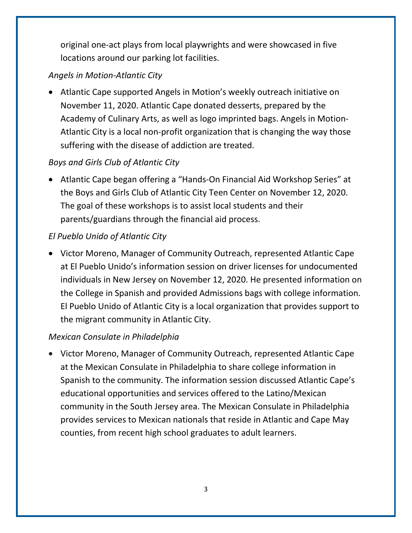original one-act plays from local playwrights and were showcased in five locations around our parking lot facilities.

## *Angels in Motion-Atlantic City*

• Atlantic Cape supported Angels in Motion's weekly outreach initiative on November 11, 2020. Atlantic Cape donated desserts, prepared by the Academy of Culinary Arts, as well as logo imprinted bags. Angels in Motion-Atlantic City is a local non-profit organization that is changing the way those suffering with the disease of addiction are treated.

# *Boys and Girls Club of Atlantic City*

• Atlantic Cape began offering a "Hands-On Financial Aid Workshop Series" at the Boys and Girls Club of Atlantic City Teen Center on November 12, 2020. The goal of these workshops is to assist local students and their parents/guardians through the financial aid process.

## *El Pueblo Unido of Atlantic City*

• Victor Moreno, Manager of Community Outreach, represented Atlantic Cape at El Pueblo Unido's information session on driver licenses for undocumented individuals in New Jersey on November 12, 2020. He presented information on the College in Spanish and provided Admissions bags with college information. El Pueblo Unido of Atlantic City is a local organization that provides support to the migrant community in Atlantic City.

## *Mexican Consulate in Philadelphia*

• Victor Moreno, Manager of Community Outreach, represented Atlantic Cape at the Mexican Consulate in Philadelphia to share college information in Spanish to the community. The information session discussed Atlantic Cape's educational opportunities and services offered to the Latino/Mexican community in the South Jersey area. The Mexican Consulate in Philadelphia provides services to Mexican nationals that reside in Atlantic and Cape May counties, from recent high school graduates to adult learners.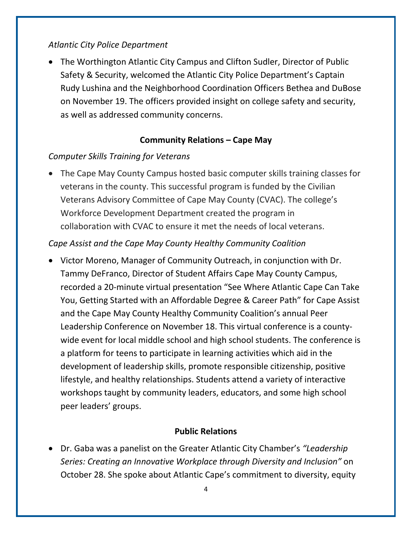#### *Atlantic City Police Department*

• The Worthington Atlantic City Campus and Clifton Sudler, Director of Public Safety & Security, welcomed the Atlantic City Police Department's Captain Rudy Lushina and the Neighborhood Coordination Officers Bethea and DuBose on November 19. The officers provided insight on college safety and security, as well as addressed community concerns.

#### **Community Relations – Cape May**

#### *Computer Skills Training for Veterans*

• The Cape May County Campus hosted basic computer skills training classes for veterans in the county. This successful program is funded by the Civilian Veterans Advisory Committee of Cape May County (CVAC). The college's Workforce Development Department created the program in collaboration with CVAC to ensure it met the needs of local veterans.

#### *Cape Assist and the Cape May County Healthy Community Coalition*

• Victor Moreno, Manager of Community Outreach, in conjunction with Dr. Tammy DeFranco, Director of Student Affairs Cape May County Campus, recorded a 20-minute virtual presentation "See Where Atlantic Cape Can Take You, Getting Started with an Affordable Degree & Career Path" for Cape Assist and the Cape May County Healthy Community Coalition's annual Peer Leadership Conference on November 18. This virtual conference is a countywide event for local middle school and high school students. The conference is a platform for teens to participate in learning activities which aid in the development of leadership skills, promote responsible citizenship, positive lifestyle, and healthy relationships. Students attend a variety of interactive workshops taught by community leaders, educators, and some high school peer leaders' groups.

#### **Public Relations**

• Dr. Gaba was a panelist on the Greater Atlantic City Chamber's *"Leadership Series: Creating an Innovative Workplace through Diversity and Inclusion"* on October 28. She spoke about Atlantic Cape's commitment to diversity, equity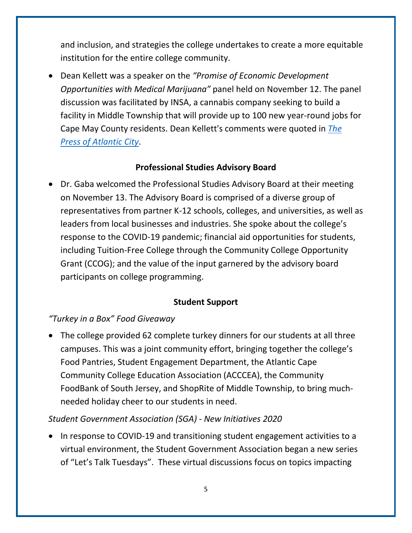and inclusion, and strategies the college undertakes to create a more equitable institution for the entire college community.

• Dean Kellett was a speaker on the *"Promise of Economic Development Opportunities with Medical Marijuana"* panel held on November 12. The panel discussion was facilitated by INSA, a cannabis company seeking to build a facility in Middle Township that will provide up to 100 new year-round jobs for Cape May County residents. Dean Kellett's comments were quoted in *[The](https://pressofatlanticcity.com/news/local/could-cannabis-bring-job-boom-to-cape/article_26f70b1c-3254-55da-9d71-67e5928914f3.html?utm_medium=social&utm_source=email&utm_campaign=user-share)  [Press of Atlantic City](https://pressofatlanticcity.com/news/local/could-cannabis-bring-job-boom-to-cape/article_26f70b1c-3254-55da-9d71-67e5928914f3.html?utm_medium=social&utm_source=email&utm_campaign=user-share)*.

#### **Professional Studies Advisory Board**

• Dr. Gaba welcomed the Professional Studies Advisory Board at their meeting on November 13. The Advisory Board is comprised of a diverse group of representatives from partner K-12 schools, colleges, and universities, as well as leaders from local businesses and industries. She spoke about the college's response to the COVID-19 pandemic; financial aid opportunities for students, including Tuition-Free College through the Community College Opportunity Grant (CCOG); and the value of the input garnered by the advisory board participants on college programming.

## **Student Support**

## *"Turkey in a Box" Food Giveaway*

• The college provided 62 complete turkey dinners for our students at all three campuses. This was a joint community effort, bringing together the college's Food Pantries, Student Engagement Department, the Atlantic Cape Community College Education Association (ACCCEA), the Community FoodBank of South Jersey, and ShopRite of Middle Township, to bring muchneeded holiday cheer to our students in need.

## *Student Government Association (SGA) - New Initiatives 2020*

• In response to COVID-19 and transitioning student engagement activities to a virtual environment, the Student Government Association began a new series of "Let's Talk Tuesdays". These virtual discussions focus on topics impacting